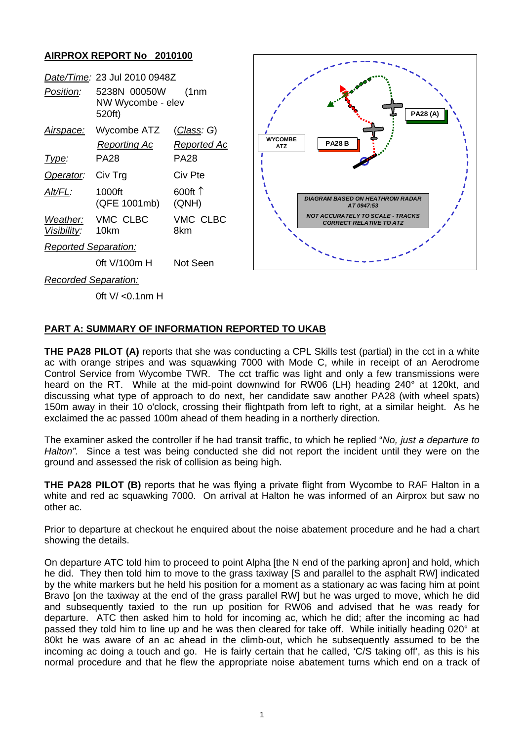## **AIRPROX REPORT No 2010100**



0ft V/ <0.1nm H

## **PART A: SUMMARY OF INFORMATION REPORTED TO UKAB**

**THE PA28 PILOT (A)** reports that she was conducting a CPL Skills test (partial) in the cct in a white ac with orange stripes and was squawking 7000 with Mode C, while in receipt of an Aerodrome Control Service from Wycombe TWR. The cct traffic was light and only a few transmissions were heard on the RT. While at the mid-point downwind for RW06 (LH) heading 240° at 120kt, and discussing what type of approach to do next, her candidate saw another PA28 (with wheel spats) 150m away in their 10 o'clock, crossing their flightpath from left to right, at a similar height. As he exclaimed the ac passed 100m ahead of them heading in a northerly direction.

The examiner asked the controller if he had transit traffic, to which he replied "*No, just a departure to Halton".* Since a test was being conducted she did not report the incident until they were on the ground and assessed the risk of collision as being high.

**THE PA28 PILOT (B)** reports that he was flying a private flight from Wycombe to RAF Halton in a white and red ac squawking 7000. On arrival at Halton he was informed of an Airprox but saw no other ac.

Prior to departure at checkout he enquired about the noise abatement procedure and he had a chart showing the details.

On departure ATC told him to proceed to point Alpha [the N end of the parking apron] and hold, which he did. They then told him to move to the grass taxiway [S and parallel to the asphalt RW] indicated by the white markers but he held his position for a moment as a stationary ac was facing him at point Bravo [on the taxiway at the end of the grass parallel RW] but he was urged to move, which he did and subsequently taxied to the run up position for RW06 and advised that he was ready for departure. ATC then asked him to hold for incoming ac, which he did; after the incoming ac had passed they told him to line up and he was then cleared for take off. While initially heading 020° at 80kt he was aware of an ac ahead in the climb-out, which he subsequently assumed to be the incoming ac doing a touch and go. He is fairly certain that he called, 'C/S taking off', as this is his normal procedure and that he flew the appropriate noise abatement turns which end on a track of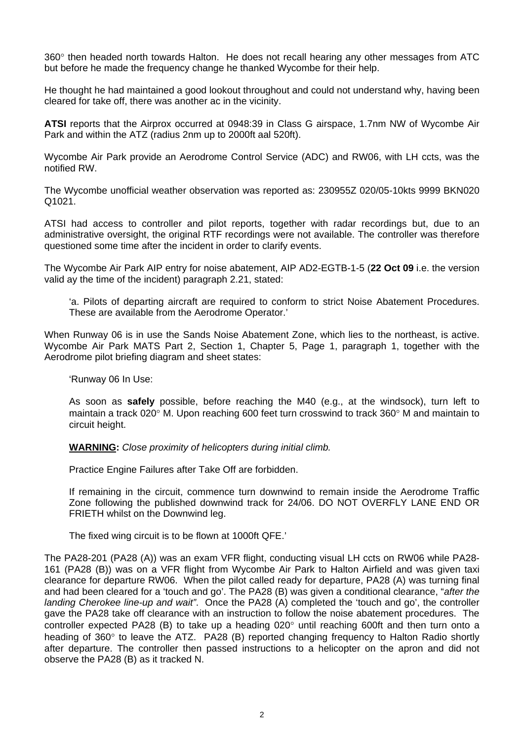360° then headed north towards Halton. He does not recall hearing any other messages from ATC but before he made the frequency change he thanked Wycombe for their help.

He thought he had maintained a good lookout throughout and could not understand why, having been cleared for take off, there was another ac in the vicinity.

**ATSI** reports that the Airprox occurred at 0948:39 in Class G airspace, 1.7nm NW of Wycombe Air Park and within the ATZ (radius 2nm up to 2000ft aal 520ft).

Wycombe Air Park provide an Aerodrome Control Service (ADC) and RW06, with LH ccts, was the notified RW.

The Wycombe unofficial weather observation was reported as: 230955Z 020/05-10kts 9999 BKN020 Q1021.

ATSI had access to controller and pilot reports, together with radar recordings but, due to an administrative oversight, the original RTF recordings were not available. The controller was therefore questioned some time after the incident in order to clarify events.

The Wycombe Air Park AIP entry for noise abatement, AIP AD2-EGTB-1-5 (**22 Oct 09** i.e. the version valid ay the time of the incident) paragraph 2.21, stated:

'a. Pilots of departing aircraft are required to conform to strict Noise Abatement Procedures. These are available from the Aerodrome Operator.'

When Runway 06 is in use the Sands Noise Abatement Zone, which lies to the northeast, is active. Wycombe Air Park MATS Part 2, Section 1, Chapter 5, Page 1, paragraph 1, together with the Aerodrome pilot briefing diagram and sheet states:

'Runway 06 In Use:

As soon as **safely** possible, before reaching the M40 (e.g., at the windsock), turn left to maintain a track 020° M. Upon reaching 600 feet turn crosswind to track 360° M and maintain to circuit height.

**WARNING:** *Close proximity of helicopters during initial climb.*

Practice Engine Failures after Take Off are forbidden.

If remaining in the circuit, commence turn downwind to remain inside the Aerodrome Traffic Zone following the published downwind track for 24/06. DO NOT OVERFLY LANE END OR FRIETH whilst on the Downwind leg.

The fixed wing circuit is to be flown at 1000ft QFE.'

The PA28-201 (PA28 (A)) was an exam VFR flight, conducting visual LH ccts on RW06 while PA28- 161 (PA28 (B)) was on a VFR flight from Wycombe Air Park to Halton Airfield and was given taxi clearance for departure RW06. When the pilot called ready for departure, PA28 (A) was turning final and had been cleared for a 'touch and go'. The PA28 (B) was given a conditional clearance, "*after the landing Cherokee line-up and wait"*. Once the PA28 (A) completed the 'touch and go', the controller gave the PA28 take off clearance with an instruction to follow the noise abatement procedures. The controller expected PA28 (B) to take up a heading 020° until reaching 600ft and then turn onto a heading of 360° to leave the ATZ. PA28 (B) reported changing frequency to Halton Radio shortly after departure. The controller then passed instructions to a helicopter on the apron and did not observe the PA28 (B) as it tracked N.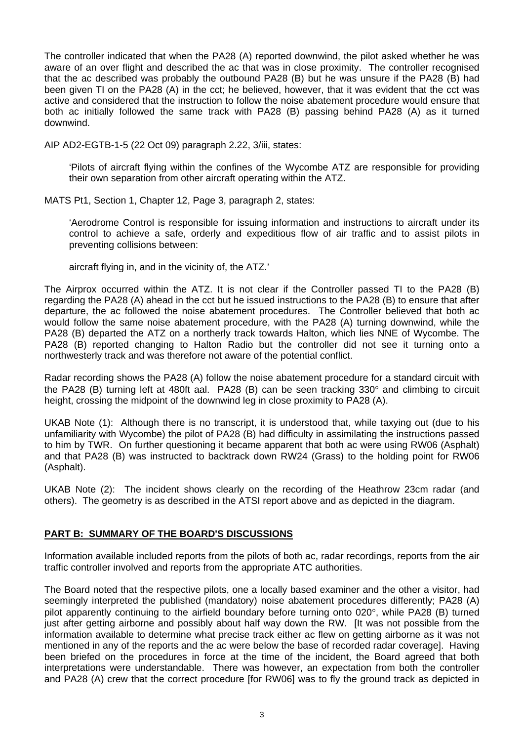The controller indicated that when the PA28 (A) reported downwind, the pilot asked whether he was aware of an over flight and described the ac that was in close proximity. The controller recognised that the ac described was probably the outbound PA28 (B) but he was unsure if the PA28 (B) had been given TI on the PA28 (A) in the cct; he believed, however, that it was evident that the cct was active and considered that the instruction to follow the noise abatement procedure would ensure that both ac initially followed the same track with PA28 (B) passing behind PA28 (A) as it turned downwind.

AIP AD2-EGTB-1-5 (22 Oct 09) paragraph 2.22, 3/iii, states:

'Pilots of aircraft flying within the confines of the Wycombe ATZ are responsible for providing their own separation from other aircraft operating within the ATZ.

MATS Pt1, Section 1, Chapter 12, Page 3, paragraph 2, states:

'Aerodrome Control is responsible for issuing information and instructions to aircraft under its control to achieve a safe, orderly and expeditious flow of air traffic and to assist pilots in preventing collisions between:

aircraft flying in, and in the vicinity of, the ATZ.'

The Airprox occurred within the ATZ. It is not clear if the Controller passed TI to the PA28 (B) regarding the PA28 (A) ahead in the cct but he issued instructions to the PA28 (B) to ensure that after departure, the ac followed the noise abatement procedures. The Controller believed that both ac would follow the same noise abatement procedure, with the PA28 (A) turning downwind, while the PA28 (B) departed the ATZ on a northerly track towards Halton, which lies NNE of Wycombe. The PA28 (B) reported changing to Halton Radio but the controller did not see it turning onto a northwesterly track and was therefore not aware of the potential conflict.

Radar recording shows the PA28 (A) follow the noise abatement procedure for a standard circuit with the PA28 (B) turning left at 480ft aal. PA28 (B) can be seen tracking 330° and climbing to circuit height, crossing the midpoint of the downwind leg in close proximity to PA28 (A).

UKAB Note (1): Although there is no transcript, it is understood that, while taxying out (due to his unfamiliarity with Wycombe) the pilot of PA28 (B) had difficulty in assimilating the instructions passed to him by TWR. On further questioning it became apparent that both ac were using RW06 (Asphalt) and that PA28 (B) was instructed to backtrack down RW24 (Grass) to the holding point for RW06 (Asphalt).

UKAB Note (2): The incident shows clearly on the recording of the Heathrow 23cm radar (and others). The geometry is as described in the ATSI report above and as depicted in the diagram.

## **PART B: SUMMARY OF THE BOARD'S DISCUSSIONS**

Information available included reports from the pilots of both ac, radar recordings, reports from the air traffic controller involved and reports from the appropriate ATC authorities.

The Board noted that the respective pilots, one a locally based examiner and the other a visitor, had seemingly interpreted the published (mandatory) noise abatement procedures differently; PA28 (A) pilot apparently continuing to the airfield boundary before turning onto 020°, while PA28 (B) turned just after getting airborne and possibly about half way down the RW. It was not possible from the information available to determine what precise track either ac flew on getting airborne as it was not mentioned in any of the reports and the ac were below the base of recorded radar coverage]. Having been briefed on the procedures in force at the time of the incident, the Board agreed that both interpretations were understandable. There was however, an expectation from both the controller and PA28 (A) crew that the correct procedure [for RW06] was to fly the ground track as depicted in